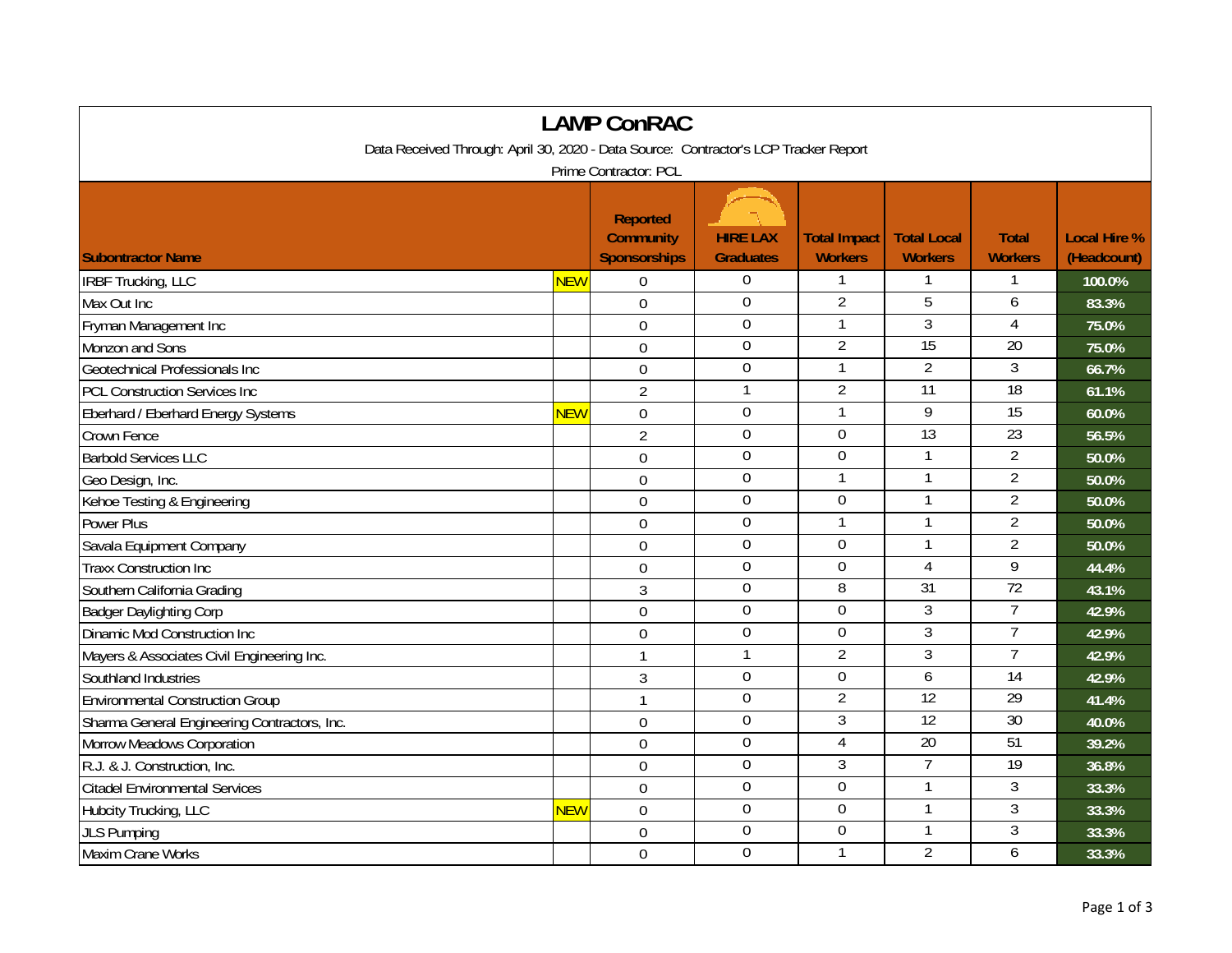| <b>LAMP ConRAC</b>                                                                   |            |                                                            |                                     |                                       |                                      |                                |                                    |  |  |
|--------------------------------------------------------------------------------------|------------|------------------------------------------------------------|-------------------------------------|---------------------------------------|--------------------------------------|--------------------------------|------------------------------------|--|--|
| Data Received Through: April 30, 2020 - Data Source: Contractor's LCP Tracker Report |            |                                                            |                                     |                                       |                                      |                                |                                    |  |  |
| Prime Contractor: PCL                                                                |            |                                                            |                                     |                                       |                                      |                                |                                    |  |  |
| <b>Subontractor Name</b>                                                             |            | <b>Reported</b><br><b>Community</b><br><b>Sponsorships</b> | <b>HIRE LAX</b><br><b>Graduates</b> | <b>Total Impact</b><br><b>Workers</b> | <b>Total Local</b><br><b>Workers</b> | <b>Total</b><br><b>Workers</b> | <b>Local Hire %</b><br>(Headcount) |  |  |
| <b>IRBF Trucking, LLC</b>                                                            | NEW        | $\overline{0}$                                             | $\boldsymbol{0}$                    | 1                                     |                                      |                                | 100.0%                             |  |  |
| Max Out Inc                                                                          |            | $\mathbf 0$                                                | $\boldsymbol{0}$                    | $\overline{2}$                        | 5                                    | 6                              | 83.3%                              |  |  |
| Fryman Management Inc                                                                |            | $\overline{0}$                                             | $\Omega$                            | 1                                     | 3                                    | $\overline{4}$                 | 75.0%                              |  |  |
| Monzon and Sons                                                                      |            | $\overline{0}$                                             | $\mathbf 0$                         | $\overline{2}$                        | 15                                   | $\overline{20}$                | 75.0%                              |  |  |
| Geotechnical Professionals Inc                                                       |            | $\mathbf 0$                                                | $\mathbf 0$                         | 1                                     | $\overline{2}$                       | $\mathfrak{Z}$                 | 66.7%                              |  |  |
| <b>PCL Construction Services Inc</b>                                                 |            | $\overline{2}$                                             | $\mathbf{1}$                        | $\overline{2}$                        | $\overline{11}$                      | 18                             | 61.1%                              |  |  |
| Eberhard / Eberhard Energy Systems                                                   | NEW        | $\mathbf 0$                                                | $\mathbf 0$                         |                                       | 9                                    | 15                             | 60.0%                              |  |  |
| Crown Fence                                                                          |            | $\overline{2}$                                             | $\boldsymbol{0}$                    | $\mathbf 0$                           | $\overline{13}$                      | $\overline{23}$                | 56.5%                              |  |  |
| <b>Barbold Services LLC</b>                                                          |            | 0                                                          | $\mathbf 0$                         | $\mathbf 0$                           | $\mathbf{1}$                         | $\overline{2}$                 | 50.0%                              |  |  |
| Geo Design, Inc.                                                                     |            | $\overline{0}$                                             | $\mathbf 0$                         | $\mathbf{1}$                          | $\mathbf{1}$                         | $\overline{2}$                 | 50.0%                              |  |  |
| Kehoe Testing & Engineering                                                          |            | $\overline{0}$                                             | $\Omega$                            | $\overline{0}$                        |                                      | $\overline{2}$                 | 50.0%                              |  |  |
| <b>Power Plus</b>                                                                    |            | $\mathbf 0$                                                | $\boldsymbol{0}$                    | $\mathbf{1}$                          |                                      | $\overline{2}$                 | 50.0%                              |  |  |
| Savala Equipment Company                                                             |            | $\mathbf 0$                                                | $\mathbf 0$                         | 0                                     |                                      | $\overline{2}$                 | 50.0%                              |  |  |
| <b>Traxx Construction Inc</b>                                                        |            | $\mathbf 0$                                                | $\mathbf 0$                         | $\mathbf 0$                           | $\overline{4}$                       | 9                              | 44.4%                              |  |  |
| Southern California Grading                                                          |            | 3                                                          | $\mathbf 0$                         | $\overline{8}$                        | 31                                   | 72                             | 43.1%                              |  |  |
| <b>Badger Daylighting Corp</b>                                                       |            | 0                                                          | $\overline{0}$                      | 0                                     | $\overline{3}$                       | 7                              | 42.9%                              |  |  |
| Dinamic Mod Construction Inc                                                         |            | $\overline{0}$                                             | $\mathbf 0$                         | 0                                     | 3                                    | $\overline{7}$                 | 42.9%                              |  |  |
| Mayers & Associates Civil Engineering Inc.                                           |            | $\mathbf{1}$                                               | $\mathbf{1}$                        | $\overline{2}$                        | $\mathfrak{Z}$                       | $\overline{7}$                 | 42.9%                              |  |  |
| Southland Industries                                                                 |            | $\sqrt{3}$                                                 | $\mathbf 0$                         | $\overline{0}$                        | $\overline{6}$                       | 14                             | 42.9%                              |  |  |
| <b>Environmental Construction Group</b>                                              |            | $\mathbf{1}$                                               | $\overline{0}$                      | $\overline{2}$                        | $\overline{12}$                      | 29                             | 41.4%                              |  |  |
| Sharma General Engineering Contractors, Inc.                                         |            | $\mathbf 0$                                                | $\pmb{0}$                           | 3                                     | 12                                   | 30                             | 40.0%                              |  |  |
| Morrow Meadows Corporation                                                           |            | $\overline{0}$                                             | $\mathbf 0$                         | $\overline{4}$                        | $\overline{20}$                      | 51                             | 39.2%                              |  |  |
| R.J. & J. Construction, Inc.                                                         |            | $\overline{0}$                                             | $\mathbf 0$                         | $\overline{3}$                        | $\overline{7}$                       | 19                             | 36.8%                              |  |  |
| <b>Citadel Environmental Services</b>                                                |            | $\overline{0}$                                             | $\mathbf 0$                         | $\overline{0}$                        |                                      | $\overline{3}$                 | 33.3%                              |  |  |
| Hubcity Trucking, LLC                                                                | <b>NEW</b> | $\mathbf 0$                                                | $\mathbf 0$                         | $\mathbf 0$                           | $\mathbf{1}$                         | 3                              | 33.3%                              |  |  |
| <b>JLS Pumping</b>                                                                   |            | $\mathbf 0$                                                | $\mathbf 0$                         | $\boldsymbol{0}$                      | 1                                    | $\mathfrak{Z}$                 | 33.3%                              |  |  |
| Maxim Crane Works                                                                    |            | $\mathbf 0$                                                | $\mathbf 0$                         | 1                                     | $\overline{2}$                       | 6                              | 33.3%                              |  |  |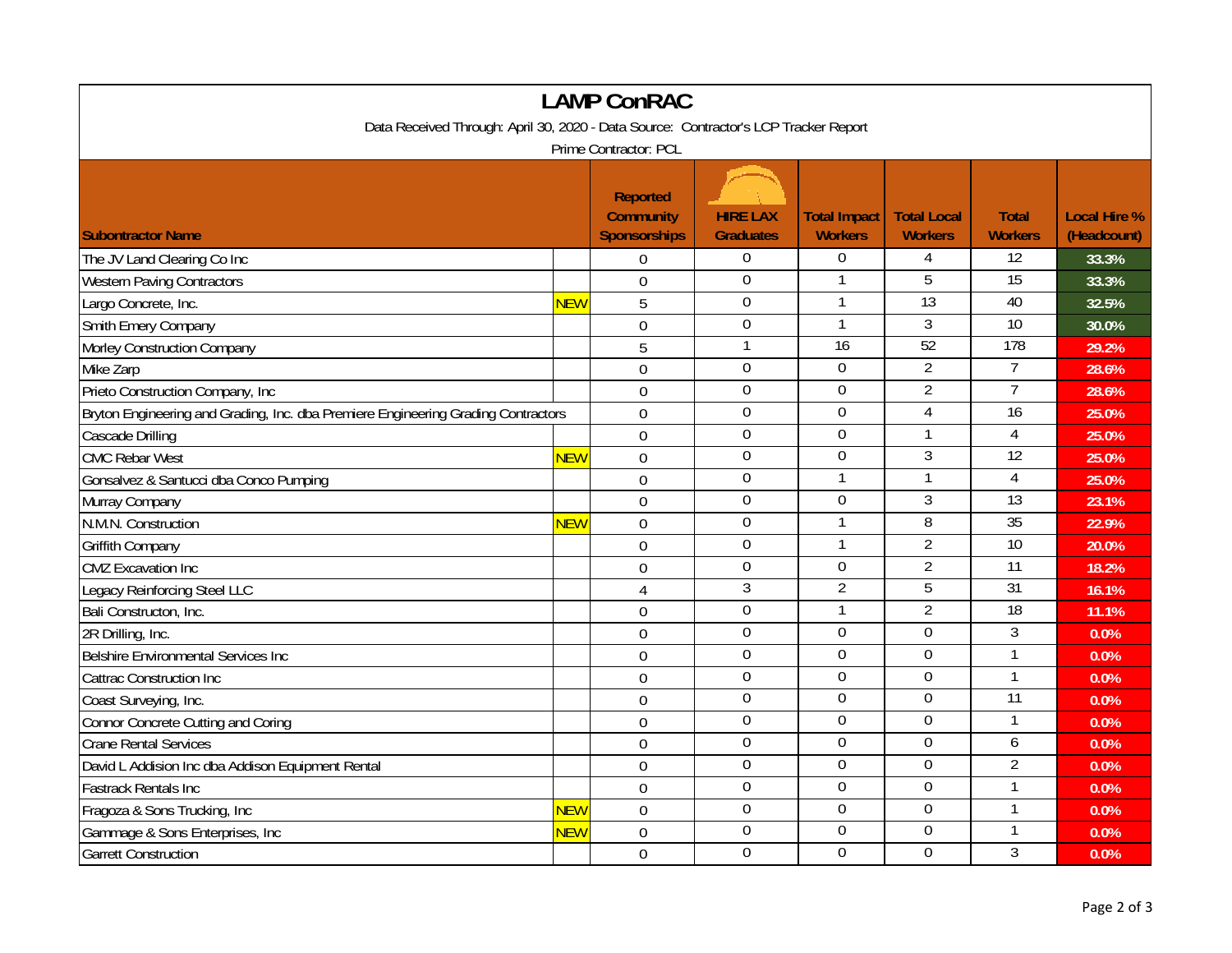| <b>LAMP ConRAC</b>                                                                   |                  |                                                            |                                     |                                       |                                      |                                |                                    |  |  |
|--------------------------------------------------------------------------------------|------------------|------------------------------------------------------------|-------------------------------------|---------------------------------------|--------------------------------------|--------------------------------|------------------------------------|--|--|
| Data Received Through: April 30, 2020 - Data Source: Contractor's LCP Tracker Report |                  |                                                            |                                     |                                       |                                      |                                |                                    |  |  |
| Prime Contractor: PCL                                                                |                  |                                                            |                                     |                                       |                                      |                                |                                    |  |  |
| <b>Subontractor Name</b>                                                             |                  | <b>Reported</b><br><b>Community</b><br><b>Sponsorships</b> | <b>HIRE LAX</b><br><b>Graduates</b> | <b>Total Impact</b><br><b>Workers</b> | <b>Total Local</b><br><b>Workers</b> | <b>Total</b><br><b>Workers</b> | <b>Local Hire %</b><br>(Headcount) |  |  |
| The JV Land Clearing Co Inc                                                          |                  | $\mathbf 0$                                                | $\overline{0}$                      | $\boldsymbol{0}$                      | $\overline{4}$                       | 12                             | 33.3%                              |  |  |
| <b>Western Paving Contractors</b>                                                    |                  | $\overline{0}$                                             | $\mathbf 0$                         | $\mathbf{1}$                          | 5                                    | $\overline{15}$                | 33.3%                              |  |  |
| Largo Concrete, Inc.                                                                 | <mark>NEW</mark> | 5                                                          | $\mathbf 0$                         |                                       | 13                                   | 40                             | 32.5%                              |  |  |
| Smith Emery Company                                                                  |                  | $\mathbf 0$                                                | $\boldsymbol{0}$                    | $\mathbf{1}$                          | $\overline{3}$                       | 10                             | 30.0%                              |  |  |
| Morley Construction Company                                                          |                  | 5                                                          | $\mathbf{1}$                        | $\overline{16}$                       | 52                                   | 178                            | 29.2%                              |  |  |
| Mike Zarp                                                                            |                  | $\overline{0}$                                             | $\mathbf 0$                         | 0                                     | $\overline{2}$                       | $\overline{7}$                 | 28.6%                              |  |  |
| Prieto Construction Company, Inc.                                                    |                  | $\overline{0}$                                             | $\boldsymbol{0}$                    | $\overline{0}$                        | $\overline{2}$                       | $\overline{7}$                 | 28.6%                              |  |  |
| Bryton Engineering and Grading, Inc. dba Premiere Engineering Grading Contractors    |                  | $\overline{0}$                                             | $\mathbf 0$                         | $\mathbf 0$                           | $\overline{4}$                       | $\overline{16}$                | 25.0%                              |  |  |
| Cascade Drilling                                                                     |                  | $\overline{0}$                                             | $\overline{0}$                      | $\mathbf 0$                           | $\mathbf{1}$                         | $\overline{4}$                 | 25.0%                              |  |  |
| <b>CMC Rebar West</b>                                                                | <b>NEW</b>       | $\overline{0}$                                             | $\overline{0}$                      | $\overline{0}$                        | $\overline{3}$                       | 12                             | 25.0%                              |  |  |
| Gonsalvez & Santucci dba Conco Pumping                                               |                  | $\mathbf 0$                                                | $\mathbf 0$                         | $\mathbf{1}$                          | $\mathbf{1}$                         | $\overline{4}$                 | 25.0%                              |  |  |
| Murray Company                                                                       |                  | $\overline{0}$                                             | $\overline{0}$                      | $\overline{0}$                        | 3                                    | 13                             | 23.1%                              |  |  |
| N.M.N. Construction                                                                  | <b>NEW</b>       | $\mathbf 0$                                                | $\mathbf 0$                         | $\mathbf{1}$                          | 8                                    | $\overline{35}$                | 22.9%                              |  |  |
| <b>Griffith Company</b>                                                              |                  | $\mathbf 0$                                                | $\boldsymbol{0}$                    | $\mathbf{1}$                          | $\overline{2}$                       | $\overline{10}$                | 20.0%                              |  |  |
| <b>CMZ</b> Excavation Inc                                                            |                  | $\overline{0}$                                             | $\mathbf 0$                         | $\mathbf 0$                           | $\overline{2}$                       | 11                             | 18.2%                              |  |  |
| Legacy Reinforcing Steel LLC                                                         |                  | 4                                                          | 3                                   | $\overline{2}$                        | 5                                    | 31                             | 16.1%                              |  |  |
| Bali Constructon, Inc.                                                               |                  | 0                                                          | $\boldsymbol{0}$                    | $\mathbf{1}$                          | $\overline{2}$                       | 18                             | 11.1%                              |  |  |
| 2R Drilling, Inc.                                                                    |                  | $\overline{0}$                                             | $\mathbf 0$                         | 0                                     | $\mathbf 0$                          | $\overline{3}$                 | 0.0%                               |  |  |
| Belshire Environmental Services Inc                                                  |                  | $\overline{0}$                                             | $\mathbf 0$                         | $\overline{0}$                        | $\overline{0}$                       | $\mathbf{1}$                   | 0.0%                               |  |  |
| Cattrac Construction Inc                                                             |                  | $\overline{0}$                                             | $\overline{0}$                      | $\overline{0}$                        | $\overline{0}$                       | $\mathbf{1}$                   | 0.0%                               |  |  |
| Coast Surveying, Inc.                                                                |                  | $\overline{0}$                                             | $\mathbf 0$                         | $\mathbf 0$                           | $\mathbf 0$                          | 11                             | 0.0%                               |  |  |
| Connor Concrete Cutting and Coring                                                   |                  | $\mathbf 0$                                                | $\overline{0}$                      | $\overline{0}$                        | $\overline{0}$                       | $\mathbf{1}$                   | 0.0%                               |  |  |
| <b>Crane Rental Services</b>                                                         |                  | $\mathbf 0$                                                | 0                                   | $\mathbf 0$                           | $\mathbf 0$                          | 6                              | 0.0%                               |  |  |
| David L Addision Inc dba Addison Equipment Rental                                    |                  | $\overline{0}$                                             | 0                                   | 0                                     | $\boldsymbol{0}$                     | $\overline{2}$                 | 0.0%                               |  |  |
| <b>Fastrack Rentals Inc</b>                                                          |                  | $\mathbf 0$                                                | $\mathbf 0$                         | $\mathbf 0$                           | $\mathbf 0$                          |                                | 0.0%                               |  |  |
| Fragoza & Sons Trucking, Inc                                                         | <b>NEW</b>       | $\mathbf{0}$                                               | $\boldsymbol{0}$                    | $\boldsymbol{0}$                      | $\boldsymbol{0}$                     | $\mathbf{1}$                   | 0.0%                               |  |  |
| Gammage & Sons Enterprises, Inc                                                      | <b>NEW</b>       | $\overline{0}$                                             | $\boldsymbol{0}$                    | $\boldsymbol{0}$                      | $\pmb{0}$                            | 1                              | 0.0%                               |  |  |
| <b>Garrett Construction</b>                                                          |                  | $\mathbf 0$                                                | 0                                   | $\theta$                              | $\overline{0}$                       | 3                              | 0.0%                               |  |  |